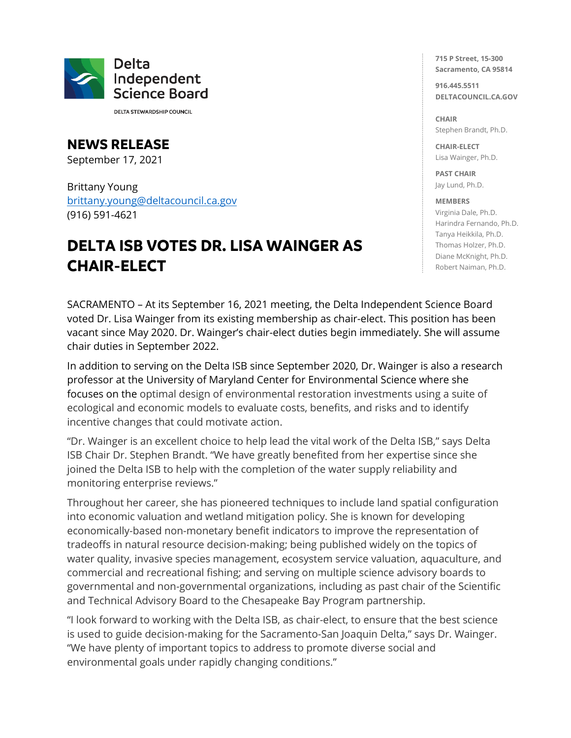

**DELTA STEWARDSHIP COUNCIL** 

**NEWS RELEASE** September 17, 2021

Brittany Young [brittany.young@deltacouncil.ca.gov](mailto:brittany.young@deltacouncil.ca.gov) (916) 591-4621

## **DELTA ISB VOTES DR. LISA WAINGER AS CHAIR-ELECT**

**715 P Street, 15-300 Sacramento, CA 95814**

**916.445.5511 DELTACOUNCIL.CA.GOV**

**CHAIR** Stephen Brandt, Ph.D.

**CHAIR-ELECT** Lisa Wainger, Ph.D.

**PAST CHAIR** Jay Lund, Ph.D.

## **MEMBERS**

Virginia Dale, Ph.D. Harindra Fernando, Ph.D. Tanya Heikkila, Ph.D. Thomas Holzer, Ph.D. Diane McKnight, Ph.D. Robert Naiman, Ph.D.

SACRAMENTO – At its September 16, 2021 meeting, the Delta Independent Science Board voted Dr. Lisa Wainger from its existing membership as chair-elect. This position has been vacant since May 2020. Dr. Wainger's chair-elect duties begin immediately. She will assume chair duties in September 2022.

In addition to serving on the Delta ISB since September 2020, Dr. Wainger is also a research professor at the University of Maryland Center for Environmental Science where she focuses on the optimal design of environmental restoration investments using a suite of ecological and economic models to evaluate costs, benefits, and risks and to identify incentive changes that could motivate action.

"Dr. Wainger is an excellent choice to help lead the vital work of the Delta ISB," says Delta ISB Chair Dr. Stephen Brandt. "We have greatly benefited from her expertise since she joined the Delta ISB to help with the completion of the water supply reliability and monitoring enterprise reviews."

Throughout her career, she has pioneered techniques to include land spatial configuration into economic valuation and wetland mitigation policy. She is known for developing economically-based non-monetary benefit indicators to improve the representation of tradeoffs in natural resource decision-making; being published widely on the topics of water quality, invasive species management, ecosystem service valuation, aquaculture, and commercial and recreational fishing; and serving on multiple science advisory boards to governmental and non-governmental organizations, including as past chair of the Scientific and Technical Advisory Board to the Chesapeake Bay Program partnership.

"I look forward to working with the Delta ISB, as chair-elect, to ensure that the best science is used to guide decision-making for the Sacramento-San Joaquin Delta," says Dr. Wainger. "We have plenty of important topics to address to promote diverse social and environmental goals under rapidly changing conditions."